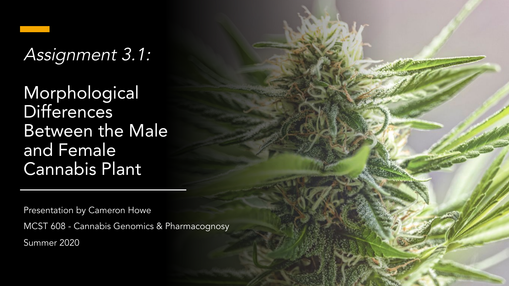### Assignment 3.1:

Morphological Differences Between the Male and Female Cannabis Plant

Presentation by Cameron Howe MCST 608 - Cannabis Genomics & Pharmacognosy Summer 2020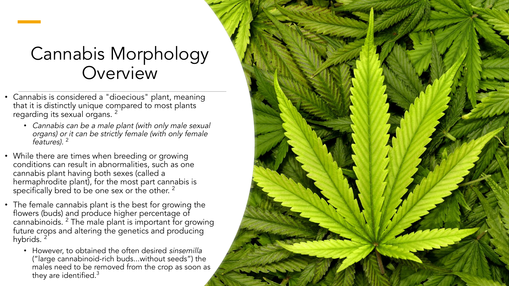#### Cannabis Morphology **Overview**

- Cannabis is considered a "dioecious" plant, meaning that it is distinctly unique compared to most plants regarding its sexual organs. <sup>2</sup>
	- *•* Cannabis can be a male plant (with only male sexual organs) or it can be strictly female (with only female features). <sup>2</sup>
- While there are times when breeding or growing conditions can result in abnormalities, such as one cannabis plant having both sexes (called a hermaphrodite plant), for the most part cannabis is specifically bred to be one sex or the other.  $^2$
- The female cannabis plant is the best for growing the flowers (buds) and produce higher percentage of cannabinoids. 2 The male plant is important for growing future crops and altering the genetics and producing hybrids. 2
	- However, to obtained the often desired sinsemilla ("large cannabinoid-rich buds...without seeds") the males need to be removed from the crop as soon as they are identified. $3$

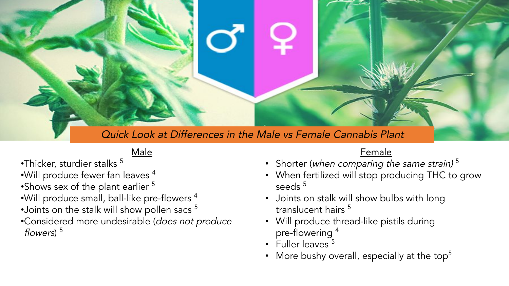

#### Male

- •Thicker, sturdier stalks 5
- $\bullet$ Will produce fewer fan leaves  $^4$
- •Shows sex of the plant earlier <sup>5</sup>
- •Will produce small, ball-like pre-flowers 4
- •Joints on the stalk will show pollen sacs <sup>5</sup>
- •Considered more undesirable (does not produce flowers)<sup>5</sup>

#### Female

- Shorter (when comparing the same strain)  $^5$
- When fertilized will stop producing THC to grow seeds<sup>5</sup>
- Joints on stalk will show bulbs with long translucent hairs <sup>5</sup>
- Will produce thread-like pistils during pre-flowering 4
- $\cdot$  Fuller leaves  $5$
- More bushy overall, especially at the top<sup>5</sup>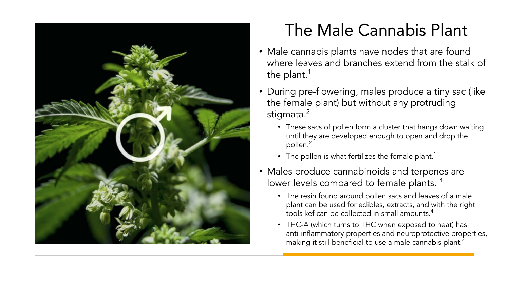

#### The Male Cannabis Plant

- Male cannabis plants have nodes that are found where leaves and branches extend from the stalk of the plant. $<sup>1</sup>$ </sup>
- During pre-flowering, males produce a tiny sac (like the female plant) but without any protruding stigmata.<sup>2</sup>
	- These sacs of pollen form a cluster that hangs down waiting until they are developed enough to open and drop the pollen.2
	- The pollen is what fertilizes the female plant.<sup>1</sup>
- Males produce cannabinoids and terpenes are lower levels compared to female plants.<sup>4</sup>
	- The resin found around pollen sacs and leaves of a male plant can be used for edibles, extracts, and with the right tools kef can be collected in small amounts.4
	- THC-A (which turns to THC when exposed to heat) has anti-inflammatory properties and neuroprotective properties, making it still beneficial to use a male cannabis plant.<sup>4</sup>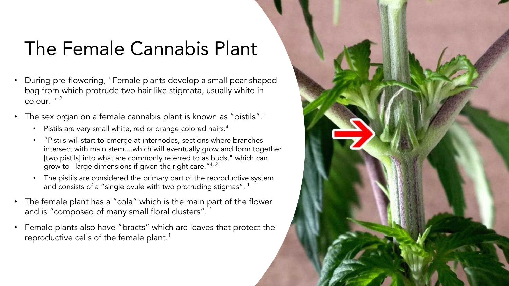## The Female Cannabis Plant

- During pre-flowering, "Female plants develop a small pear-shaped bag from which protrude two hair-like stigmata, usually white in colour. " 2
- The sex organ on a female cannabis plant is known as "pistils".<sup>1</sup>
	- Pistils are very small white, red or orange colored hairs.<sup>4</sup>
	- "Pistils will start to emerge at internodes, sections where branches intersect with main stem....which will eventually grow and form together [two pistils] into what are commonly referred to as buds," which can grow to "large dimensions if given the right care."4, 2
	- The pistils are considered the primary part of the reproductive system and consists of a "single ovule with two protruding stigmas".<sup>1</sup>
- The female plant has a "cola" which is the main part of the flower and is "composed of many small floral clusters".<sup>1</sup>
- Female plants also have "bracts" which are leaves that protect the reproductive cells of the female plant.<sup>1</sup>

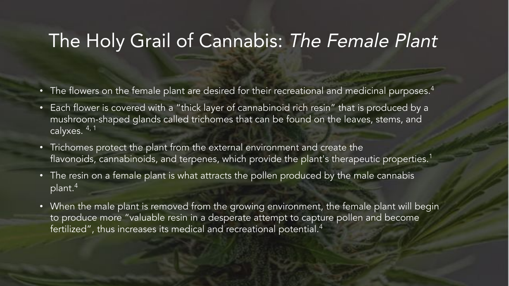#### The Holy Grail of Cannabis: The Female Plant

- The flowers on the female plant are desired for their recreational and medicinal purposes.<sup>4</sup>
- Each flower is covered with a "thick layer of cannabinoid rich resin" that is produced by a mushroom-shaped glands called trichomes that can be found on the leaves, stems, and calyxes. 4, 1
- Trichomes protect the plant from the external environment and create the flavonoids, cannabinoids, and terpenes, which provide the plant's therapeutic properties.<sup>1</sup>
- The resin on a female plant is what attracts the pollen produced by the male cannabis  $\sqrt{p}$ lant.<sup>4</sup>
- When the male plant is removed from the growing environment, the female plant will begin to produce more "valuable resin in a desperate attempt to capture pollen and become fertilized", thus increases its medical and recreational potential.<sup>4</sup>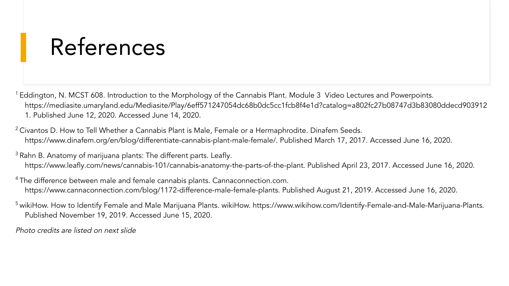# References

- <sup>1</sup> Eddington, N. MCST 608. Introduction to the Morphology of the Cannabis Plant. Module 3 Video Lectures and Powerpoints. https://mediasite.umaryland.edu/Mediasite/Play/6eff571247054dc68b0dc5cc1fcb8f4e1d?catalog=a802fc27b08747d3b83080ddecd903912 1. Published June 12, 2020. Accessed June 14, 2020.
- <sup>2</sup> Civantos D. How to Tell Whether a Cannabis Plant is Male, Female or a Hermaphrodite. Dinafem Seeds. https://www.dinafem.org/en/blog/differentiate-cannabis-plant-male-female/. Published March 17, 2017. Accessed June 16, 2020.
- $3$  Rahn B. Anatomy of marijuana plants: The different parts. Leafly. https://www.leafly.com/news/cannabis-101/cannabis-anatomy-the-parts-of-the-plant. Published April 23, 2017. Accessed June 16, 2020.
- <sup>4</sup> The difference between male and female cannabis plants. Cannaconnection.com. https://www.cannaconnection.com/blog/1172-difference-male-female-plants. Published August 21, 2019. Accessed June 16, 2020.
- <sup>5</sup> wikiHow. How to Identify Female and Male Marijuana Plants. wikiHow. https://www.wikihow.com/Identify-Female-and-Male-Marijuana-Plants. Published November 19, 2019. Accessed June 15, 2020.
- Photo credits are listed on next slide